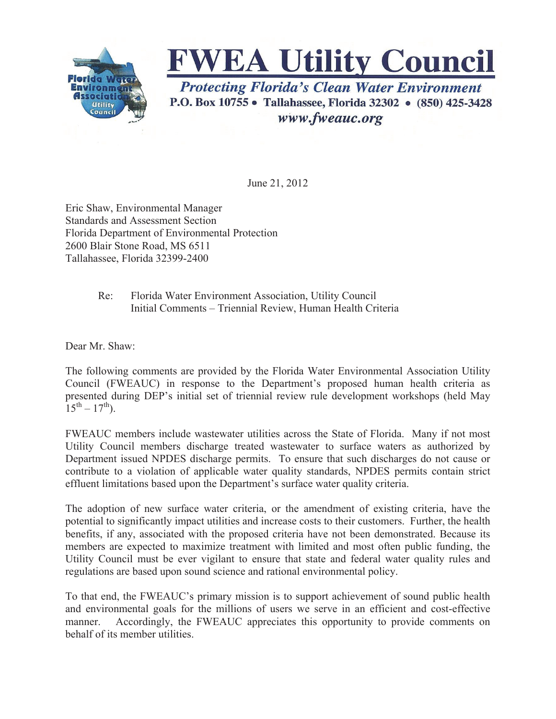



www.fweauc.org

June 21, 2012

Eric Shaw, Environmental Manager Standards and Assessment Section Florida Department of Environmental Protection 2600 Blair Stone Road, MS 6511 Tallahassee, Florida 32399-2400

## Re: Florida Water Environment Association, Utility Council Initial Comments – Triennial Review, Human Health Criteria

Dear Mr. Shaw:

The following comments are provided by the Florida Water Environmental Association Utility Council (FWEAUC) in response to the Department's proposed human health criteria as presented during DEP's initial set of triennial review rule development workshops (held May  $15^{th} - 17^{th}$ ).

FWEAUC members include wastewater utilities across the State of Florida. Many if not most Utility Council members discharge treated wastewater to surface waters as authorized by Department issued NPDES discharge permits. To ensure that such discharges do not cause or contribute to a violation of applicable water quality standards, NPDES permits contain strict effluent limitations based upon the Department's surface water quality criteria.

The adoption of new surface water criteria, or the amendment of existing criteria, have the potential to significantly impact utilities and increase costs to their customers. Further, the health benefits, if any, associated with the proposed criteria have not been demonstrated. Because its members are expected to maximize treatment with limited and most often public funding, the Utility Council must be ever vigilant to ensure that state and federal water quality rules and regulations are based upon sound science and rational environmental policy.

To that end, the FWEAUC's primary mission is to support achievement of sound public health and environmental goals for the millions of users we serve in an efficient and cost-effective manner. Accordingly, the FWEAUC appreciates this opportunity to provide comments on behalf of its member utilities.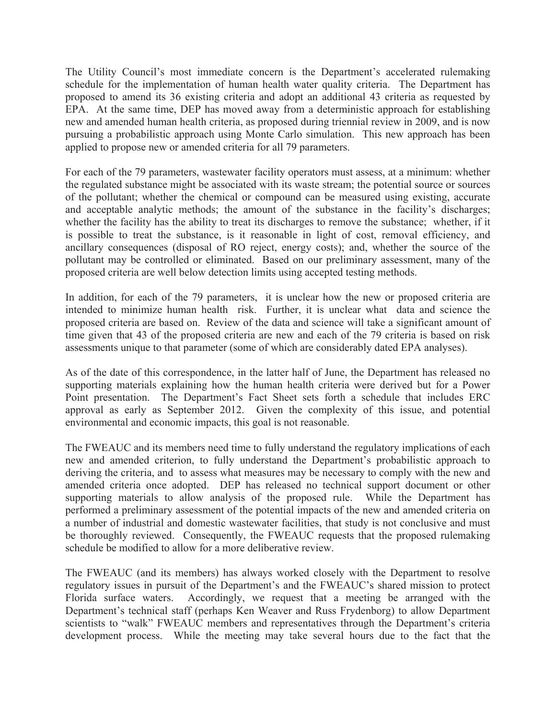The Utility Council's most immediate concern is the Department's accelerated rulemaking schedule for the implementation of human health water quality criteria. The Department has proposed to amend its 36 existing criteria and adopt an additional 43 criteria as requested by EPA. At the same time, DEP has moved away from a deterministic approach for establishing new and amended human health criteria, as proposed during triennial review in 2009, and is now pursuing a probabilistic approach using Monte Carlo simulation. This new approach has been applied to propose new or amended criteria for all 79 parameters.

For each of the 79 parameters, wastewater facility operators must assess, at a minimum: whether the regulated substance might be associated with its waste stream; the potential source or sources of the pollutant; whether the chemical or compound can be measured using existing, accurate and acceptable analytic methods; the amount of the substance in the facility's discharges; whether the facility has the ability to treat its discharges to remove the substance; whether, if it is possible to treat the substance, is it reasonable in light of cost, removal efficiency, and ancillary consequences (disposal of RO reject, energy costs); and, whether the source of the pollutant may be controlled or eliminated. Based on our preliminary assessment, many of the proposed criteria are well below detection limits using accepted testing methods.

In addition, for each of the 79 parameters, it is unclear how the new or proposed criteria are intended to minimize human health risk. Further, it is unclear what data and science the proposed criteria are based on. Review of the data and science will take a significant amount of time given that 43 of the proposed criteria are new and each of the 79 criteria is based on risk assessments unique to that parameter (some of which are considerably dated EPA analyses).

As of the date of this correspondence, in the latter half of June, the Department has released no supporting materials explaining how the human health criteria were derived but for a Power Point presentation. The Department's Fact Sheet sets forth a schedule that includes ERC approval as early as September 2012. Given the complexity of this issue, and potential environmental and economic impacts, this goal is not reasonable.

The FWEAUC and its members need time to fully understand the regulatory implications of each new and amended criterion, to fully understand the Department's probabilistic approach to deriving the criteria, and to assess what measures may be necessary to comply with the new and amended criteria once adopted. DEP has released no technical support document or other supporting materials to allow analysis of the proposed rule. While the Department has performed a preliminary assessment of the potential impacts of the new and amended criteria on a number of industrial and domestic wastewater facilities, that study is not conclusive and must be thoroughly reviewed. Consequently, the FWEAUC requests that the proposed rulemaking schedule be modified to allow for a more deliberative review.

The FWEAUC (and its members) has always worked closely with the Department to resolve regulatory issues in pursuit of the Department's and the FWEAUC's shared mission to protect Florida surface waters. Accordingly, we request that a meeting be arranged with the Department's technical staff (perhaps Ken Weaver and Russ Frydenborg) to allow Department scientists to "walk" FWEAUC members and representatives through the Department's criteria development process. While the meeting may take several hours due to the fact that the